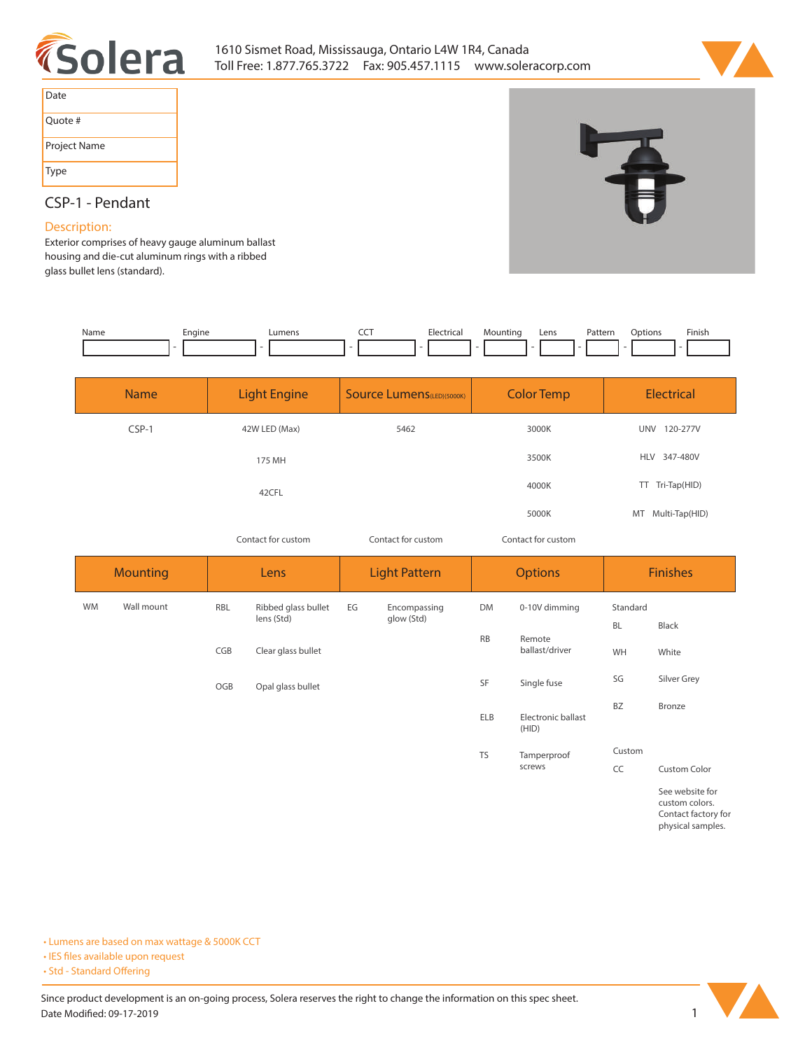



| Date         |
|--------------|
| Ouote #      |
| Project Name |
| Type         |

## **CSP-1 - Pendant**

## **Description:**

**Exterior comprises of heavy gauge aluminum ballast housing and die-cut aluminum rings with a ribbed glass bullet lens (standard).** 

| Name | cngine<br>- 11 | $I$ manc | --- | $\sim$ $\sim$ | .ıntinc | Lens | ÷ori<br>attei<br>. | Finis |
|------|----------------|----------|-----|---------------|---------|------|--------------------|-------|
|      |                |          |     |               |         |      |                    |       |

| <b>Name</b> | <b>Light Engine</b> | <b>Source Lumens</b> (LED)(5000K) | <b>Color Temp</b> | <b>Electrical</b> |  |
|-------------|---------------------|-----------------------------------|-------------------|-------------------|--|
| CSP-1       | 42W LED (Max)       | 5462                              | 3000K             | 120-277V<br>UNV   |  |
|             | 175 MH              |                                   | 3500K             | HLV 347-480V      |  |
|             | 42CFL               |                                   | 4000K             | TT Tri-Tap(HID)   |  |
|             |                     |                                   | 5000K             | MT Multi-Tap(HID) |  |

*Contact for custom Contact for custom*

*Contact for custom*

| <b>Mounting</b> |            | Lens |                     | <b>Light Pattern</b> |              | <b>Options</b> |                             | <b>Finishes</b> |                                                                               |  |
|-----------------|------------|------|---------------------|----------------------|--------------|----------------|-----------------------------|-----------------|-------------------------------------------------------------------------------|--|
| <b>WM</b>       | Wall mount | RBL  | Ribbed glass bullet | EG                   | Encompassing | DM             | 0-10V dimming               | Standard        |                                                                               |  |
|                 |            |      | lens (Std)          |                      | glow (Std)   | <b>RB</b>      | Remote<br>ballast/driver    | <b>BL</b>       | Black                                                                         |  |
|                 |            | CGB  | Clear glass bullet  |                      |              |                |                             | WH              | White                                                                         |  |
|                 |            | OGB  | Opal glass bullet   |                      |              | SF             | Single fuse                 | SG              | Silver Grey                                                                   |  |
|                 |            |      |                     |                      |              | <b>ELB</b>     | Electronic ballast<br>(HID) | <b>BZ</b>       | Bronze                                                                        |  |
|                 |            |      |                     |                      |              | <b>TS</b>      | Tamperproof                 | Custom          |                                                                               |  |
|                 |            |      |                     |                      |              |                | screws                      | CC              | <b>Custom Color</b>                                                           |  |
|                 |            |      |                     |                      |              |                |                             |                 | See website for<br>custom colors.<br>Contact factory for<br>physical samples. |  |

**• Lumens are based on max wattage & 5000K CCT**

**• IES files available upon request** 

• Std - Standard Offering

Since product development is an on-going process, Solera reserves the right to change the information on this spec sheet. **Date Modified: 09-17-2019** 1